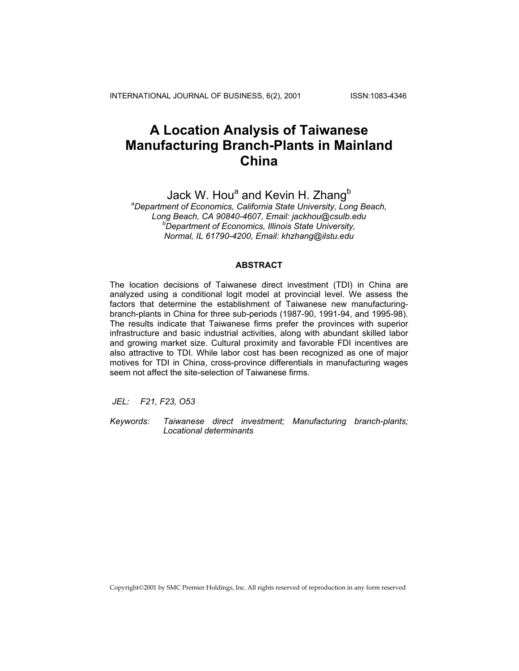INTERNATIONAL JOURNAL OF BUSINESS, 6(2), 2001 ISSN:1083-4346

# **A Location Analysis of Taiwanese Manufacturing Branch-Plants in Mainland China**

Jack W. Hou<sup>a</sup> and Kevin H. Zhang<sup>b</sup> *a Department of Economics, California State University, Long Beach, Long Beach, CA 90840-4607, Email: jackhou@csulb.edu b Department of Economics, Illinois State University, Normal, IL 61790-4200, Email: khzhang@ilstu.edu* 

# **ABSTRACT**

The location decisions of Taiwanese direct investment (TDI) in China are analyzed using a conditional logit model at provincial level. We assess the factors that determine the establishment of Taiwanese new manufacturingbranch-plants in China for three sub-periods (1987-90, 1991-94, and 1995-98). The results indicate that Taiwanese firms prefer the provinces with superior infrastructure and basic industrial activities, along with abundant skilled labor and growing market size. Cultural proximity and favorable FDI incentives are also attractive to TDI. While labor cost has been recognized as one of major motives for TDI in China, cross-province differentials in manufacturing wages seem not affect the site-selection of Taiwanese firms.

 *JEL: F21, F23, O53* 

*Keywords: Taiwanese direct investment; Manufacturing branch-plants; Locational determinants* 

Copyright2001 by SMC Premier Holdings, Inc. All rights reserved of reproduction in any form reserved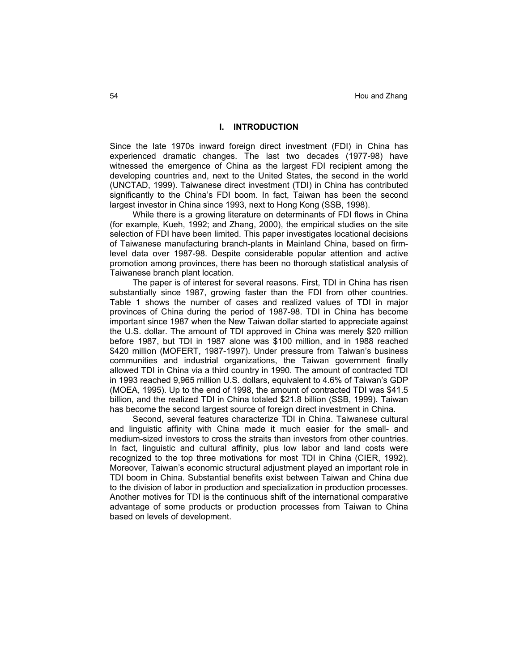## **I. INTRODUCTION**

Since the late 1970s inward foreign direct investment (FDI) in China has experienced dramatic changes. The last two decades (1977-98) have witnessed the emergence of China as the largest FDI recipient among the developing countries and, next to the United States, the second in the world (UNCTAD, 1999). Taiwanese direct investment (TDI) in China has contributed significantly to the China's FDI boom. In fact, Taiwan has been the second largest investor in China since 1993, next to Hong Kong (SSB, 1998).

While there is a growing literature on determinants of FDI flows in China (for example, Kueh, 1992; and Zhang, 2000), the empirical studies on the site selection of FDI have been limited. This paper investigates locational decisions of Taiwanese manufacturing branch-plants in Mainland China, based on firmlevel data over 1987-98. Despite considerable popular attention and active promotion among provinces, there has been no thorough statistical analysis of Taiwanese branch plant location.

The paper is of interest for several reasons. First, TDI in China has risen substantially since 1987, growing faster than the FDI from other countries. Table 1 shows the number of cases and realized values of TDI in major provinces of China during the period of 1987-98. TDI in China has become important since 1987 when the New Taiwan dollar started to appreciate against the U.S. dollar. The amount of TDI approved in China was merely \$20 million before 1987, but TDI in 1987 alone was \$100 million, and in 1988 reached \$420 million (MOFERT, 1987-1997). Under pressure from Taiwan's business communities and industrial organizations, the Taiwan government finally allowed TDI in China via a third country in 1990. The amount of contracted TDI in 1993 reached 9,965 million U.S. dollars, equivalent to 4.6% of Taiwan's GDP (MOEA, 1995). Up to the end of 1998, the amount of contracted TDI was \$41.5 billion, and the realized TDI in China totaled \$21.8 billion (SSB, 1999). Taiwan has become the second largest source of foreign direct investment in China.

Second, several features characterize TDI in China. Taiwanese cultural and linguistic affinity with China made it much easier for the small- and medium-sized investors to cross the straits than investors from other countries. In fact, linguistic and cultural affinity, plus low labor and land costs were recognized to the top three motivations for most TDI in China (CIER, 1992). Moreover, Taiwan's economic structural adjustment played an important role in TDI boom in China. Substantial benefits exist between Taiwan and China due to the division of labor in production and specialization in production processes. Another motives for TDI is the continuous shift of the international comparative advantage of some products or production processes from Taiwan to China based on levels of development.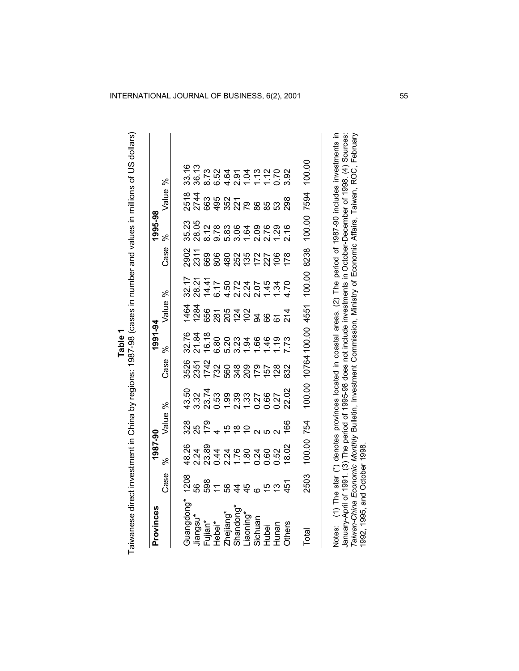|           | 5<br>2<br>2<br>2<br>2                                                                                                     |
|-----------|---------------------------------------------------------------------------------------------------------------------------|
|           |                                                                                                                           |
|           | うりり                                                                                                                       |
|           |                                                                                                                           |
|           | Ì                                                                                                                         |
|           |                                                                                                                           |
|           |                                                                                                                           |
|           |                                                                                                                           |
|           | :<br>>>>>><br>>                                                                                                           |
|           |                                                                                                                           |
|           |                                                                                                                           |
|           | $\frac{2}{3}$                                                                                                             |
|           |                                                                                                                           |
|           |                                                                                                                           |
|           |                                                                                                                           |
|           |                                                                                                                           |
|           | .<br>הובי הובי הובי הובי המתקדש בין המדינה הובי הובי היו המתקדש בין היו המתקדש בין היו המתקדש בין היו היו היו המתקד<br>į  |
|           |                                                                                                                           |
| -<br>Duna | 21  1   22  22  22 <br> 22                                                                                                |
|           |                                                                                                                           |
|           |                                                                                                                           |
|           |                                                                                                                           |
|           |                                                                                                                           |
|           |                                                                                                                           |
|           | $\frac{1}{2}$ and $\frac{1}{2}$ and $\frac{1}{2}$ and $\frac{1}{2}$ and $\frac{1}{2}$ and $\frac{1}{2}$ and $\frac{1}{2}$ |
|           | $\ddot{\phantom{0}}$                                                                                                      |
|           |                                                                                                                           |
|           |                                                                                                                           |
|           |                                                                                                                           |
|           | .<br>.                                                                                                                    |
|           |                                                                                                                           |
|           |                                                                                                                           |
|           |                                                                                                                           |
|           |                                                                                                                           |
|           |                                                                                                                           |
|           | $-20$                                                                                                                     |
|           | َّةً                                                                                                                      |
|           |                                                                                                                           |
|           | alwanes                                                                                                                   |

| Provinces                    |                          | 1987-90          |           |                   |               | 1991-94                  |                     |                  |                  | 1995-98                  |                              |                                                                                                                                                                                                                                              |
|------------------------------|--------------------------|------------------|-----------|-------------------|---------------|--------------------------|---------------------|------------------|------------------|--------------------------|------------------------------|----------------------------------------------------------------------------------------------------------------------------------------------------------------------------------------------------------------------------------------------|
|                              | Case                     | వ్               | Value     | ಸಿ                | Case          | %                        | Value %             |                  | Case             | ℅                        | Value %                      |                                                                                                                                                                                                                                              |
| Guangdong*                   | 1208                     | 48.26            | 328       | 43.50             | 3526          | 32.76                    | 1464                | 32.17            | 2902             | 35.23                    | 2518                         | 33.16                                                                                                                                                                                                                                        |
| Jiangsu*                     | 56                       | 2.24             |           | 3.32              | 2351          | 21.84                    | 1284                | 28.21            | 2311             | 28.05                    | 2744                         | 36.13                                                                                                                                                                                                                                        |
| Fujian*                      | 598                      | 23.89            | 25<br>179 | 23.74             | 1742          | 16.18                    | 856                 | 14.41            | 669              |                          | 663                          | 8.73                                                                                                                                                                                                                                         |
| Hebei*                       | $\overline{\phantom{a}}$ | $-44$            |           | 0.53              | 732           | 6.80                     |                     | 6.17             |                  | 9.78                     |                              |                                                                                                                                                                                                                                              |
| Zhejiang*                    | 89                       |                  |           | 1.99              |               | 5.20                     |                     |                  |                  |                          |                              |                                                                                                                                                                                                                                              |
| Shandong*                    | 4                        | 217824<br>217824 | 599       |                   | 88825<br>8882 |                          | <u>ន្តខ្ព័ន្ន ន</u> |                  | 8888225          | 830400<br>830400<br>5302 | ទុន្គ<br>ទុន្គស្ថិត<br>ទុន្គ | る4211110<br>おおり 1110<br>これには                                                                                                                                                                                                                 |
| -iaoning*                    | $\frac{4}{5}$            |                  |           | 33<br>2327<br>252 |               | $3.\overline{3}3$        |                     |                  |                  |                          |                              |                                                                                                                                                                                                                                              |
| Sichuan                      |                          |                  |           |                   |               | .66                      |                     |                  |                  |                          |                              |                                                                                                                                                                                                                                              |
| Hubei                        | 15                       | 0.60             |           | 0.66              |               | 46                       |                     |                  |                  |                          |                              |                                                                                                                                                                                                                                              |
| Hunan                        | $\frac{3}{2}$            | 0.52             |           | 0.27              | <b>28</b>     | $\frac{6}{1}$            |                     | $\frac{1.34}{4}$ | $\overline{106}$ | 1.29                     |                              |                                                                                                                                                                                                                                              |
| <b>Chers</b>                 | 451                      | 18.02            | 166       | 22.02             | 832           | .73                      | $\frac{4}{2}$       | 1.70             | <b>178</b>       | 2.16                     | 298                          | 3.92                                                                                                                                                                                                                                         |
| Total                        | 2503                     | 100.00 754       |           |                   |               | 100.00 10764 100.00 4551 |                     | 100.00 8238      |                  |                          | 100.00 7594                  | 100.00                                                                                                                                                                                                                                       |
|                              |                          |                  |           |                   |               |                          |                     |                  |                  |                          |                              | Notes: (1) The star (*) denotes provinces located in coastal areas. (2) The period of 1987-90 includes investments in                                                                                                                        |
| 1992, 1995, and October 1998 |                          |                  |           |                   |               |                          |                     |                  |                  |                          |                              | Taiwan-China Economic Monthly Bulletin, Investment Commission, Ministry of Economic Affairs, Taiwan, ROC, February<br>January-April of 1991 (3) The period of 1995-98 does not include investments in October-December of 1998. (4) Sources: |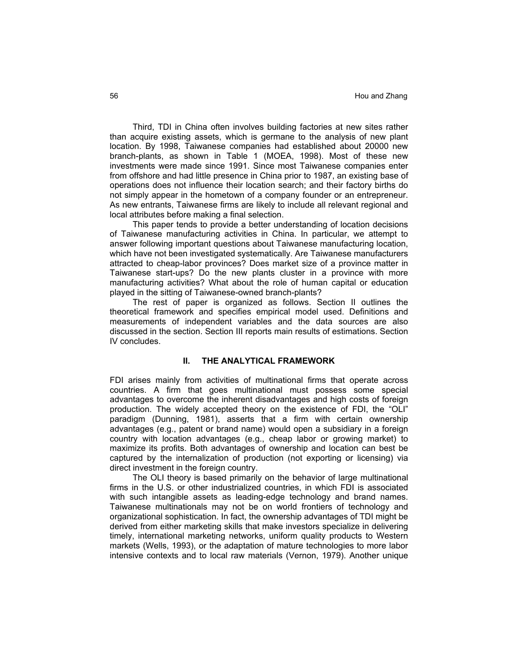Third, TDI in China often involves building factories at new sites rather than acquire existing assets, which is germane to the analysis of new plant location. By 1998, Taiwanese companies had established about 20000 new branch-plants, as shown in Table 1 (MOEA, 1998). Most of these new investments were made since 1991. Since most Taiwanese companies enter from offshore and had little presence in China prior to 1987, an existing base of operations does not influence their location search; and their factory births do not simply appear in the hometown of a company founder or an entrepreneur. As new entrants, Taiwanese firms are likely to include all relevant regional and local attributes before making a final selection.

This paper tends to provide a better understanding of location decisions of Taiwanese manufacturing activities in China. In particular, we attempt to answer following important questions about Taiwanese manufacturing location, which have not been investigated systematically. Are Taiwanese manufacturers attracted to cheap-labor provinces? Does market size of a province matter in Taiwanese start-ups? Do the new plants cluster in a province with more manufacturing activities? What about the role of human capital or education played in the sitting of Taiwanese-owned branch-plants?

The rest of paper is organized as follows. Section II outlines the theoretical framework and specifies empirical model used. Definitions and measurements of independent variables and the data sources are also discussed in the section. Section III reports main results of estimations. Section IV concludes.

## **II. THE ANALYTICAL FRAMEWORK**

FDI arises mainly from activities of multinational firms that operate across countries. A firm that goes multinational must possess some special advantages to overcome the inherent disadvantages and high costs of foreign production. The widely accepted theory on the existence of FDI, the "OLI" paradigm (Dunning, 1981), asserts that a firm with certain ownership advantages (e.g., patent or brand name) would open a subsidiary in a foreign country with location advantages (e.g., cheap labor or growing market) to maximize its profits. Both advantages of ownership and location can best be captured by the internalization of production (not exporting or licensing) via direct investment in the foreign country.

 The OLI theory is based primarily on the behavior of large multinational firms in the U.S. or other industrialized countries, in which FDI is associated with such intangible assets as leading-edge technology and brand names. Taiwanese multinationals may not be on world frontiers of technology and organizational sophistication. In fact, the ownership advantages of TDI might be derived from either marketing skills that make investors specialize in delivering timely, international marketing networks, uniform quality products to Western markets (Wells, 1993), or the adaptation of mature technologies to more labor intensive contexts and to local raw materials (Vernon, 1979). Another unique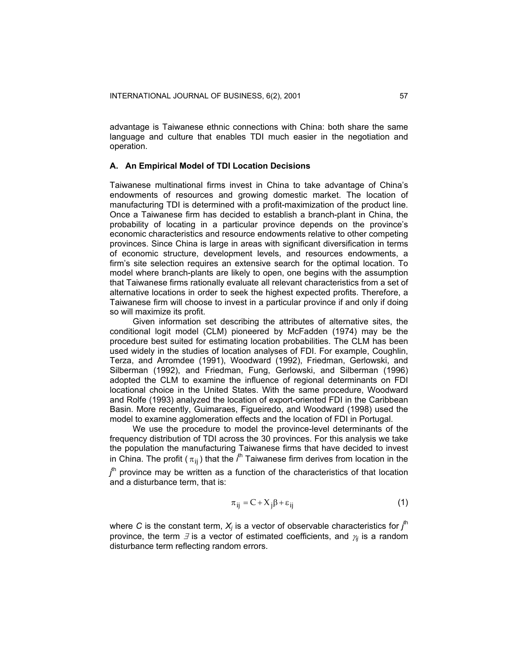advantage is Taiwanese ethnic connections with China: both share the same language and culture that enables TDI much easier in the negotiation and operation.

## **A. An Empirical Model of TDI Location Decisions**

Taiwanese multinational firms invest in China to take advantage of China's endowments of resources and growing domestic market. The location of manufacturing TDI is determined with a profit-maximization of the product line. Once a Taiwanese firm has decided to establish a branch-plant in China, the probability of locating in a particular province depends on the province's economic characteristics and resource endowments relative to other competing provinces. Since China is large in areas with significant diversification in terms of economic structure, development levels, and resources endowments, a firm's site selection requires an extensive search for the optimal location. To model where branch-plants are likely to open, one begins with the assumption that Taiwanese firms rationally evaluate all relevant characteristics from a set of alternative locations in order to seek the highest expected profits. Therefore, a Taiwanese firm will choose to invest in a particular province if and only if doing so will maximize its profit.

Given information set describing the attributes of alternative sites, the conditional logit model (CLM) pioneered by McFadden (1974) may be the procedure best suited for estimating location probabilities. The CLM has been used widely in the studies of location analyses of FDI. For example, Coughlin, Terza, and Arromdee (1991), Woodward (1992), Friedman, Gerlowski, and Silberman (1992), and Friedman, Fung, Gerlowski, and Silberman (1996) adopted the CLM to examine the influence of regional determinants on FDI locational choice in the United States. With the same procedure, Woodward and Rolfe (1993) analyzed the location of export-oriented FDI in the Caribbean Basin. More recently, Guimaraes, Figueiredo, and Woodward (1998) used the model to examine agglomeration effects and the location of FDI in Portugal.

We use the procedure to model the province-level determinants of the frequency distribution of TDI across the 30 provinces. For this analysis we take the population the manufacturing Taiwanese firms that have decided to invest in China. The profit (  $\pi_{ij}$  ) that the  $i^{\text{th}}$  Taiwanese firm derives from location in the *j*<sup>th</sup> province may be written as a function of the characteristics of that location and a disturbance term, that is:

$$
\pi_{ij} = C + X_j \beta + \varepsilon_{ij} \tag{1}
$$

where C is the constant term,  $X_j$  is a vector of observable characteristics for  $j^{\text{th}}$ province, the term ∃ is a vector of estimated coefficients, and <sup>γ</sup>*ij* is a random disturbance term reflecting random errors.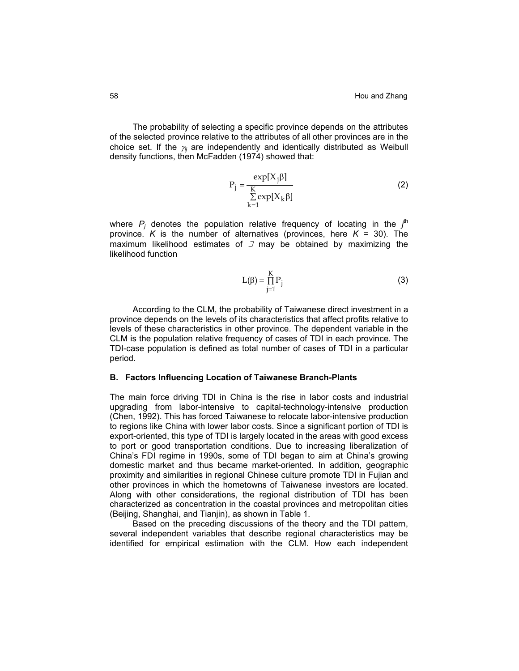The probability of selecting a specific province depends on the attributes of the selected province relative to the attributes of all other provinces are in the choice set. If the <sup>γ</sup>*ij* are independently and identically distributed as Weibull density functions, then McFadden (1974) showed that:

$$
P_{j} = \frac{\exp[X_{j}\beta]}{\sum_{k=1}^{K} \exp[X_{k}\beta]}
$$
 (2)

where  $P_j$  denotes the population relative frequency of locating in the  $j^{\text{th}}$ province. *K* is the number of alternatives (provinces, here  $K = 30$ ). The maximum likelihood estimates of  $\exists$  may be obtained by maximizing the likelihood function

$$
L(\beta) = \prod_{j=1}^{K} P_j
$$
 (3)

According to the CLM, the probability of Taiwanese direct investment in a province depends on the levels of its characteristics that affect profits relative to levels of these characteristics in other province. The dependent variable in the CLM is the population relative frequency of cases of TDI in each province. The TDI-case population is defined as total number of cases of TDI in a particular period.

## **B. Factors Influencing Location of Taiwanese Branch-Plants**

The main force driving TDI in China is the rise in labor costs and industrial upgrading from labor-intensive to capital-technology-intensive production (Chen, 1992). This has forced Taiwanese to relocate labor-intensive production to regions like China with lower labor costs. Since a significant portion of TDI is export-oriented, this type of TDI is largely located in the areas with good excess to port or good transportation conditions. Due to increasing liberalization of China's FDI regime in 1990s, some of TDI began to aim at China's growing domestic market and thus became market-oriented. In addition, geographic proximity and similarities in regional Chinese culture promote TDI in Fujian and other provinces in which the hometowns of Taiwanese investors are located. Along with other considerations, the regional distribution of TDI has been characterized as concentration in the coastal provinces and metropolitan cities (Beijing, Shanghai, and Tianjin), as shown in Table 1.

Based on the preceding discussions of the theory and the TDI pattern, several independent variables that describe regional characteristics may be identified for empirical estimation with the CLM. How each independent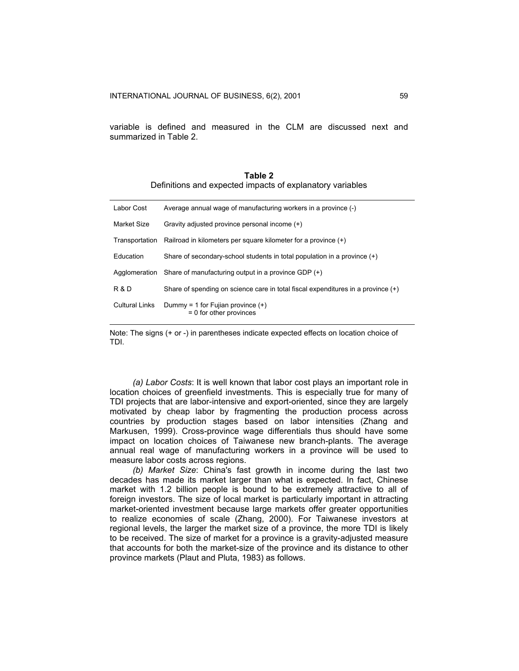variable is defined and measured in the CLM are discussed next and summarized in Table 2.

|                                                           | Table 2 |  |  |
|-----------------------------------------------------------|---------|--|--|
| Definitions and expected impacts of explanatory variables |         |  |  |

| Labor Cost            | Average annual wage of manufacturing workers in a province (-)                     |
|-----------------------|------------------------------------------------------------------------------------|
| Market Size           | Gravity adjusted province personal income (+)                                      |
| Transportation        | Railroad in kilometers per square kilometer for a province (+)                     |
| Education             | Share of secondary-school students in total population in a province (+)           |
| Agglomeration         | Share of manufacturing output in a province GDP $(+)$                              |
| R & D                 | Share of spending on science care in total fiscal expenditures in a province $(+)$ |
| <b>Cultural Links</b> | Dummy = 1 for Fujian province $(+)$<br>$= 0$ for other provinces                   |

Note: The signs (+ or -) in parentheses indicate expected effects on location choice of TDI.

*(a) Labor Costs*: It is well known that labor cost plays an important role in location choices of greenfield investments. This is especially true for many of TDI projects that are labor-intensive and export-oriented, since they are largely motivated by cheap labor by fragmenting the production process across countries by production stages based on labor intensities (Zhang and Markusen, 1999). Cross-province wage differentials thus should have some impact on location choices of Taiwanese new branch-plants. The average annual real wage of manufacturing workers in a province will be used to measure labor costs across regions.

*(b) Market Size*: China's fast growth in income during the last two decades has made its market larger than what is expected. In fact, Chinese market with 1.2 billion people is bound to be extremely attractive to all of foreign investors. The size of local market is particularly important in attracting market-oriented investment because large markets offer greater opportunities to realize economies of scale (Zhang, 2000). For Taiwanese investors at regional levels, the larger the market size of a province, the more TDI is likely to be received. The size of market for a province is a gravity-adjusted measure that accounts for both the market-size of the province and its distance to other province markets (Plaut and Pluta, 1983) as follows.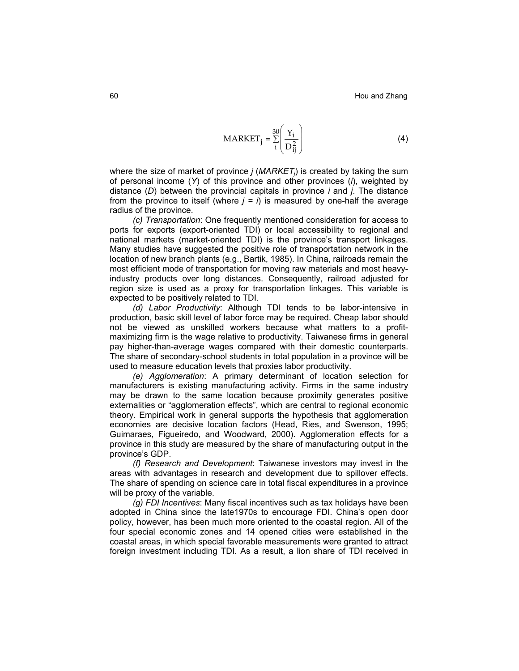$$
MARKET_j = \frac{30}{i} \left( \frac{Y_i}{D_{ij}^2} \right)
$$
 (4)

where the size of market of province *j* (*MARKET<sub>i</sub>*) is created by taking the sum of personal income (*Y*) of this province and other provinces (*i*), weighted by distance (*D*) between the provincial capitals in province *i* and *j*. The distance from the province to itself (where  $j = i$ ) is measured by one-half the average radius of the province.

*(c) Transportation*: One frequently mentioned consideration for access to ports for exports (export-oriented TDI) or local accessibility to regional and national markets (market-oriented TDI) is the province's transport linkages. Many studies have suggested the positive role of transportation network in the location of new branch plants (e.g., Bartik, 1985). In China, railroads remain the most efficient mode of transportation for moving raw materials and most heavyindustry products over long distances. Consequently, railroad adjusted for region size is used as a proxy for transportation linkages. This variable is expected to be positively related to TDI.

*(d) Labor Productivity*: Although TDI tends to be labor-intensive in production, basic skill level of labor force may be required. Cheap labor should not be viewed as unskilled workers because what matters to a profitmaximizing firm is the wage relative to productivity. Taiwanese firms in general pay higher-than-average wages compared with their domestic counterparts. The share of secondary-school students in total population in a province will be used to measure education levels that proxies labor productivity.

*(e) Agglomeration*: A primary determinant of location selection for manufacturers is existing manufacturing activity. Firms in the same industry may be drawn to the same location because proximity generates positive externalities or "agglomeration effects", which are central to regional economic theory. Empirical work in general supports the hypothesis that agglomeration economies are decisive location factors (Head, Ries, and Swenson, 1995; Guimaraes, Figueiredo, and Woodward, 2000). Agglomeration effects for a province in this study are measured by the share of manufacturing output in the province's GDP.

*(f) Research and Development*: Taiwanese investors may invest in the areas with advantages in research and development due to spillover effects. The share of spending on science care in total fiscal expenditures in a province will be proxy of the variable.

*(g) FDI Incentives*: Many fiscal incentives such as tax holidays have been adopted in China since the late1970s to encourage FDI. China's open door policy, however, has been much more oriented to the coastal region. All of the four special economic zones and 14 opened cities were established in the coastal areas, in which special favorable measurements were granted to attract foreign investment including TDI. As a result, a lion share of TDI received in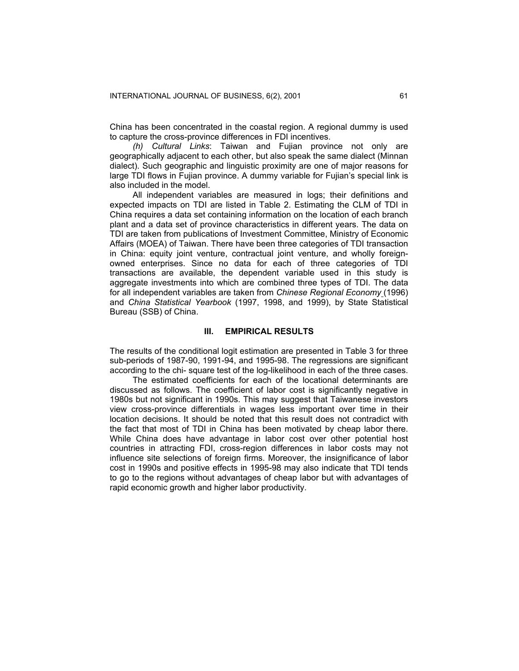China has been concentrated in the coastal region. A regional dummy is used to capture the cross-province differences in FDI incentives.

*(h) Cultural Links*: Taiwan and Fujian province not only are geographically adjacent to each other, but also speak the same dialect (Minnan dialect). Such geographic and linguistic proximity are one of major reasons for large TDI flows in Fujian province. A dummy variable for Fujian's special link is also included in the model.

All independent variables are measured in logs; their definitions and expected impacts on TDI are listed in Table 2. Estimating the CLM of TDI in China requires a data set containing information on the location of each branch plant and a data set of province characteristics in different years. The data on TDI are taken from publications of Investment Committee, Ministry of Economic Affairs (MOEA) of Taiwan. There have been three categories of TDI transaction in China: equity joint venture, contractual joint venture, and wholly foreignowned enterprises. Since no data for each of three categories of TDI transactions are available, the dependent variable used in this study is aggregate investments into which are combined three types of TDI. The data for all independent variables are taken from *Chinese Regional Economy* (1996) and *China Statistical Yearbook* (1997, 1998, and 1999), by State Statistical Bureau (SSB) of China.

#### **III. EMPIRICAL RESULTS**

The results of the conditional logit estimation are presented in Table 3 for three sub-periods of 1987-90, 1991-94, and 1995-98. The regressions are significant according to the chi- square test of the log-likelihood in each of the three cases.

The estimated coefficients for each of the locational determinants are discussed as follows. The coefficient of labor cost is significantly negative in 1980s but not significant in 1990s. This may suggest that Taiwanese investors view cross-province differentials in wages less important over time in their location decisions. It should be noted that this result does not contradict with the fact that most of TDI in China has been motivated by cheap labor there. While China does have advantage in labor cost over other potential host countries in attracting FDI, cross-region differences in labor costs may not influence site selections of foreign firms. Moreover, the insignificance of labor cost in 1990s and positive effects in 1995-98 may also indicate that TDI tends to go to the regions without advantages of cheap labor but with advantages of rapid economic growth and higher labor productivity.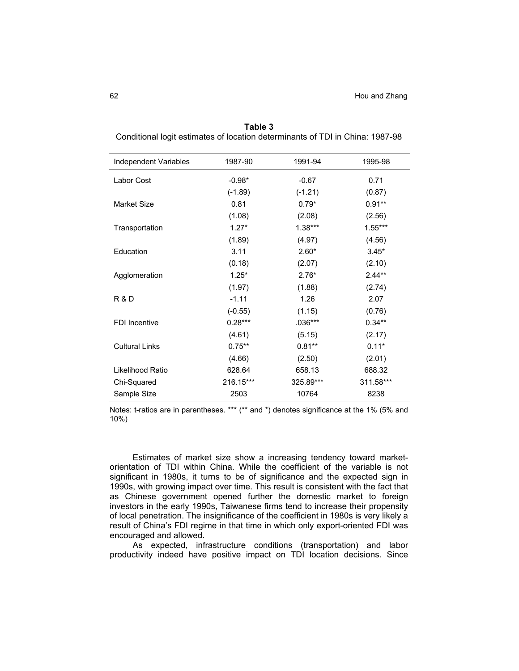| Independent Variables | 1987-90   | 1991-94   | 1995-98   |
|-----------------------|-----------|-----------|-----------|
| Labor Cost            | $-0.98*$  | $-0.67$   | 0.71      |
|                       | $(-1.89)$ | $(-1.21)$ | (0.87)    |
| <b>Market Size</b>    | 0.81      | $0.79*$   | $0.91**$  |
|                       | (1.08)    | (2.08)    | (2.56)    |
| Transportation        | $1.27*$   | $1.38***$ | $1.55***$ |
|                       | (1.89)    | (4.97)    | (4.56)    |
| Education             | 3.11      | $2.60*$   | $3.45*$   |
|                       | (0.18)    | (2.07)    | (2.10)    |
| Agglomeration         | $1.25*$   | $2.76*$   | $2.44**$  |
|                       | (1.97)    | (1.88)    | (2.74)    |
| <b>R&amp;D</b>        | $-1.11$   | 1.26      | 2.07      |
|                       | $(-0.55)$ | (1.15)    | (0.76)    |
| <b>FDI</b> Incentive  | $0.28***$ | $.036***$ | $0.34**$  |
|                       | (4.61)    | (5.15)    | (2.17)    |
| <b>Cultural Links</b> | $0.75***$ | $0.81**$  | $0.11*$   |
|                       | (4.66)    | (2.50)    | (2.01)    |
| Likelihood Ratio      | 628.64    | 658.13    | 688.32    |
| Chi-Squared           | 216.15*** | 325.89*** | 311.58*** |
| Sample Size           | 2503      | 10764     | 8238      |

**Table 3**  Conditional logit estimates of location determinants of TDI in China: 1987-98

Notes: t-ratios are in parentheses. \*\*\* (\*\* and \*) denotes significance at the 1% (5% and 10%)

Estimates of market size show a increasing tendency toward marketorientation of TDI within China. While the coefficient of the variable is not significant in 1980s, it turns to be of significance and the expected sign in 1990s, with growing impact over time. This result is consistent with the fact that as Chinese government opened further the domestic market to foreign investors in the early 1990s, Taiwanese firms tend to increase their propensity of local penetration. The insignificance of the coefficient in 1980s is very likely a result of China's FDI regime in that time in which only export-oriented FDI was encouraged and allowed.

As expected, infrastructure conditions (transportation) and labor productivity indeed have positive impact on TDI location decisions. Since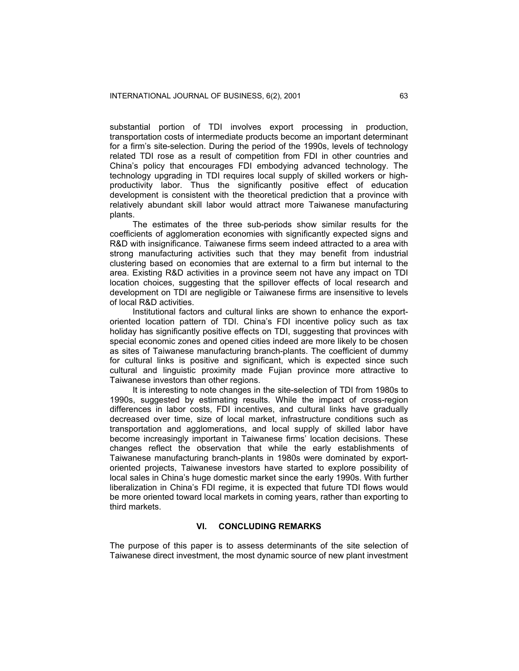substantial portion of TDI involves export processing in production, transportation costs of intermediate products become an important determinant for a firm's site-selection. During the period of the 1990s, levels of technology related TDI rose as a result of competition from FDI in other countries and China's policy that encourages FDI embodying advanced technology. The technology upgrading in TDI requires local supply of skilled workers or highproductivity labor. Thus the significantly positive effect of education development is consistent with the theoretical prediction that a province with relatively abundant skill labor would attract more Taiwanese manufacturing plants.

The estimates of the three sub-periods show similar results for the coefficients of agglomeration economies with significantly expected signs and R&D with insignificance. Taiwanese firms seem indeed attracted to a area with strong manufacturing activities such that they may benefit from industrial clustering based on economies that are external to a firm but internal to the area. Existing R&D activities in a province seem not have any impact on TDI location choices, suggesting that the spillover effects of local research and development on TDI are negligible or Taiwanese firms are insensitive to levels of local R&D activities.

Institutional factors and cultural links are shown to enhance the exportoriented location pattern of TDI. China's FDI incentive policy such as tax holiday has significantly positive effects on TDI, suggesting that provinces with special economic zones and opened cities indeed are more likely to be chosen as sites of Taiwanese manufacturing branch-plants. The coefficient of dummy for cultural links is positive and significant, which is expected since such cultural and linguistic proximity made Fujian province more attractive to Taiwanese investors than other regions.

It is interesting to note changes in the site-selection of TDI from 1980s to 1990s, suggested by estimating results. While the impact of cross-region differences in labor costs, FDI incentives, and cultural links have gradually decreased over time, size of local market, infrastructure conditions such as transportation and agglomerations, and local supply of skilled labor have become increasingly important in Taiwanese firms' location decisions. These changes reflect the observation that while the early establishments of Taiwanese manufacturing branch-plants in 1980s were dominated by exportoriented projects, Taiwanese investors have started to explore possibility of local sales in China's huge domestic market since the early 1990s. With further liberalization in China's FDI regime, it is expected that future TDI flows would be more oriented toward local markets in coming years, rather than exporting to third markets.

# **VI. CONCLUDING REMARKS**

The purpose of this paper is to assess determinants of the site selection of Taiwanese direct investment, the most dynamic source of new plant investment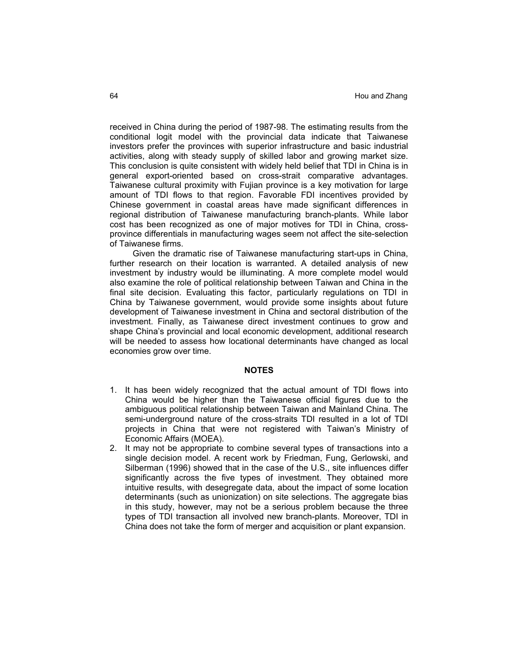received in China during the period of 1987-98. The estimating results from the conditional logit model with the provincial data indicate that Taiwanese investors prefer the provinces with superior infrastructure and basic industrial activities, along with steady supply of skilled labor and growing market size. This conclusion is quite consistent with widely held belief that TDI in China is in general export-oriented based on cross-strait comparative advantages. Taiwanese cultural proximity with Fujian province is a key motivation for large amount of TDI flows to that region. Favorable FDI incentives provided by Chinese government in coastal areas have made significant differences in regional distribution of Taiwanese manufacturing branch-plants. While labor cost has been recognized as one of major motives for TDI in China, crossprovince differentials in manufacturing wages seem not affect the site-selection of Taiwanese firms.

Given the dramatic rise of Taiwanese manufacturing start-ups in China, further research on their location is warranted. A detailed analysis of new investment by industry would be illuminating. A more complete model would also examine the role of political relationship between Taiwan and China in the final site decision. Evaluating this factor, particularly regulations on TDI in China by Taiwanese government, would provide some insights about future development of Taiwanese investment in China and sectoral distribution of the investment. Finally, as Taiwanese direct investment continues to grow and shape China's provincial and local economic development, additional research will be needed to assess how locational determinants have changed as local economies grow over time.

#### **NOTES**

- 1. It has been widely recognized that the actual amount of TDI flows into China would be higher than the Taiwanese official figures due to the ambiguous political relationship between Taiwan and Mainland China. The semi-underground nature of the cross-straits TDI resulted in a lot of TDI projects in China that were not registered with Taiwan's Ministry of Economic Affairs (MOEA).
- 2. It may not be appropriate to combine several types of transactions into a single decision model. A recent work by Friedman, Fung, Gerlowski, and Silberman (1996) showed that in the case of the U.S., site influences differ significantly across the five types of investment. They obtained more intuitive results, with desegregate data, about the impact of some location determinants (such as unionization) on site selections. The aggregate bias in this study, however, may not be a serious problem because the three types of TDI transaction all involved new branch-plants. Moreover, TDI in China does not take the form of merger and acquisition or plant expansion.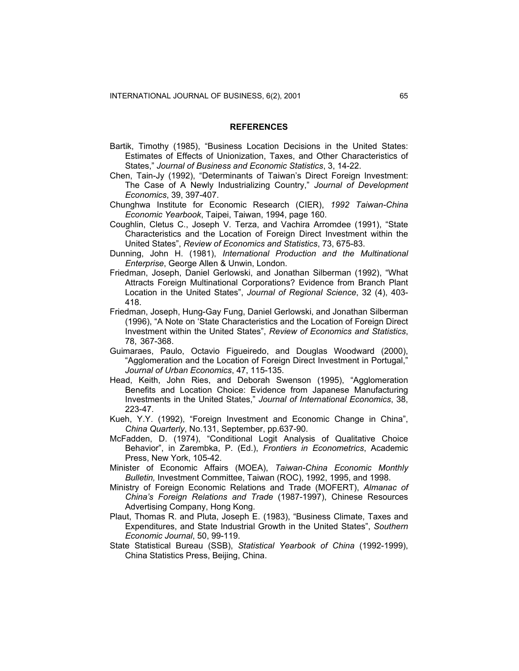#### **REFERENCES**

- Bartik, Timothy (1985), "Business Location Decisions in the United States: Estimates of Effects of Unionization, Taxes, and Other Characteristics of States," *Journal of Business and Economic Statistics*, 3, 14-22.
- Chen, Tain-Jy (1992), "Determinants of Taiwan's Direct Foreign Investment: The Case of A Newly Industrializing Country," *Journal of Development Economics*, 39, 397-407.
- Chunghwa Institute for Economic Research (CIER), *1992 Taiwan-China Economic Yearbook*, Taipei, Taiwan, 1994, page 160.
- Coughlin, Cletus C., Joseph V. Terza, and Vachira Arromdee (1991), "State Characteristics and the Location of Foreign Direct Investment within the United States", *Review of Economics and Statistics*, 73, 675-83.
- Dunning, John H. (1981), *International Production and the Multinational Enterprise*, George Allen & Unwin, London.
- Friedman, Joseph, Daniel Gerlowski, and Jonathan Silberman (1992), "What Attracts Foreign Multinational Corporations? Evidence from Branch Plant Location in the United States", *Journal of Regional Science*, 32 (4), 403- 418.
- Friedman, Joseph, Hung-Gay Fung, Daniel Gerlowski, and Jonathan Silberman (1996), "A Note on 'State Characteristics and the Location of Foreign Direct Investment within the United States", *Review of Economics and Statistics*, 78, 367-368.
- Guimaraes, Paulo, Octavio Figueiredo, and Douglas Woodward (2000), "Agglomeration and the Location of Foreign Direct Investment in Portugal," *Journal of Urban Economics*, 47, 115-135.
- Head, Keith, John Ries, and Deborah Swenson (1995), "Agglomeration Benefits and Location Choice: Evidence from Japanese Manufacturing Investments in the United States," *Journal of International Economics*, 38, 223-47.
- Kueh, Y.Y. (1992), "Foreign Investment and Economic Change in China", *China Quarterly*, No.131, September, pp.637-90.
- McFadden, D. (1974), "Conditional Logit Analysis of Qualitative Choice Behavior", in Zarembka, P. (Ed.), *Frontiers in Econometrics*, Academic Press, New York, 105-42.
- Minister of Economic Affairs (MOEA), *Taiwan-China Economic Monthly Bulletin,* Investment Committee, Taiwan (ROC), 1992, 1995, and 1998.
- Ministry of Foreign Economic Relations and Trade (MOFERT), *Almanac of China's Foreign Relations and Trade* (1987-1997), Chinese Resources Advertising Company, Hong Kong.
- Plaut, Thomas R. and Pluta, Joseph E. (1983), "Business Climate, Taxes and Expenditures, and State Industrial Growth in the United States", *Southern Economic Journal*, 50, 99-119.
- State Statistical Bureau (SSB), *Statistical Yearbook of China* (1992-1999), China Statistics Press, Beijing, China.